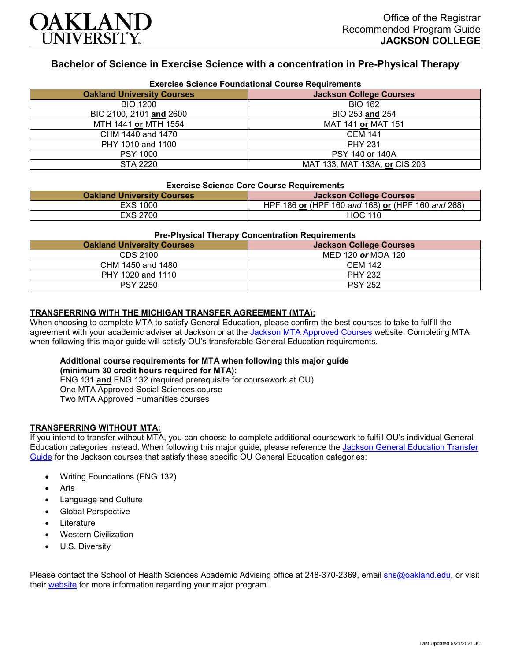

# **Bachelor of Science in Exercise Science with a concentration in Pre-Physical Therapy**

| <b>Exercise Science Foundational Course Requirements</b> |                                |  |
|----------------------------------------------------------|--------------------------------|--|
| <b>Oakland University Courses</b>                        | <b>Jackson College Courses</b> |  |
| <b>BIO 1200</b>                                          | <b>BIO 162</b>                 |  |
| BIO 2100, 2101 and 2600                                  | BIO 253 and 254                |  |
| MTH 1441 or MTH 1554                                     | MAT 141 or MAT 151             |  |
| CHM 1440 and 1470                                        | <b>CEM 141</b>                 |  |
| PHY 1010 and 1100                                        | <b>PHY 231</b>                 |  |
| <b>PSY 1000</b>                                          | PSY 140 or 140A                |  |
| STA 2220                                                 | MAT 133, MAT 133A, or CIS 203  |  |

#### **Exercise Science Core Course Requirements**

| <b>Oakland University Courses</b> | <b>Jackson College Courses</b>                    |
|-----------------------------------|---------------------------------------------------|
| EXS 1000                          | HPF 186 or (HPF 160 and 168) or (HPF 160 and 268) |
| EXS 2700                          | <b>HOC 110</b>                                    |

| <b>Pre-Physical Therapy Concentration Requirements</b> |                                |  |
|--------------------------------------------------------|--------------------------------|--|
| <b>Oakland University Courses</b>                      | <b>Jackson College Courses</b> |  |
| CDS 2100                                               | MED 120 or MOA 120             |  |
| CHM 1450 and 1480                                      | <b>CEM 142</b>                 |  |
| PHY 1020 and 1110                                      | <b>PHY 232</b>                 |  |
| <b>PSY 2250</b>                                        | <b>PSY 252</b>                 |  |

#### **TRANSFERRING WITH THE MICHIGAN TRANSFER AGREEMENT (MTA):**

When choosing to complete MTA to satisfy General Education, please confirm the best courses to take to fulfill the agreement with your academic adviser at Jackson or at the Jackson [MTA Approved Courses](https://www.jccmi.edu/transfer/michigan-transfer-agreement/) website. Completing MTA when following this major guide will satisfy OU's transferable General Education requirements.

### **Additional course requirements for MTA when following this major guide (minimum 30 credit hours required for MTA):**

ENG 131 **and** ENG 132 (required prerequisite for coursework at OU) One MTA Approved Social Sciences course

Two MTA Approved Humanities courses

#### **TRANSFERRING WITHOUT MTA:**

If you intend to transfer without MTA, you can choose to complete additional coursework to fulfill OU's individual General Education categories instead. When following this major guide, please reference the [Jackson General Education Transfer](https://www.oakland.edu/Assets/Oakland/program-guides/jackson-college/university-general-education-requirements/Jackson%20Gen%20Ed.pdf)  [Guide](https://www.oakland.edu/Assets/Oakland/program-guides/jackson-college/university-general-education-requirements/Jackson%20Gen%20Ed.pdf) for the Jackson courses that satisfy these specific OU General Education categories:

- Writing Foundations (ENG 132)
- **Arts**
- Language and Culture
- Global Perspective
- **Literature**
- Western Civilization
- U.S. Diversity

Please contact the School of Health Sciences Academic Advising office at 248-370-2369, email [shs@oakland.edu,](mailto:shs@oakland.edu) or visit their [website](http://www.oakland.edu/shs/advising) for more information regarding your major program.